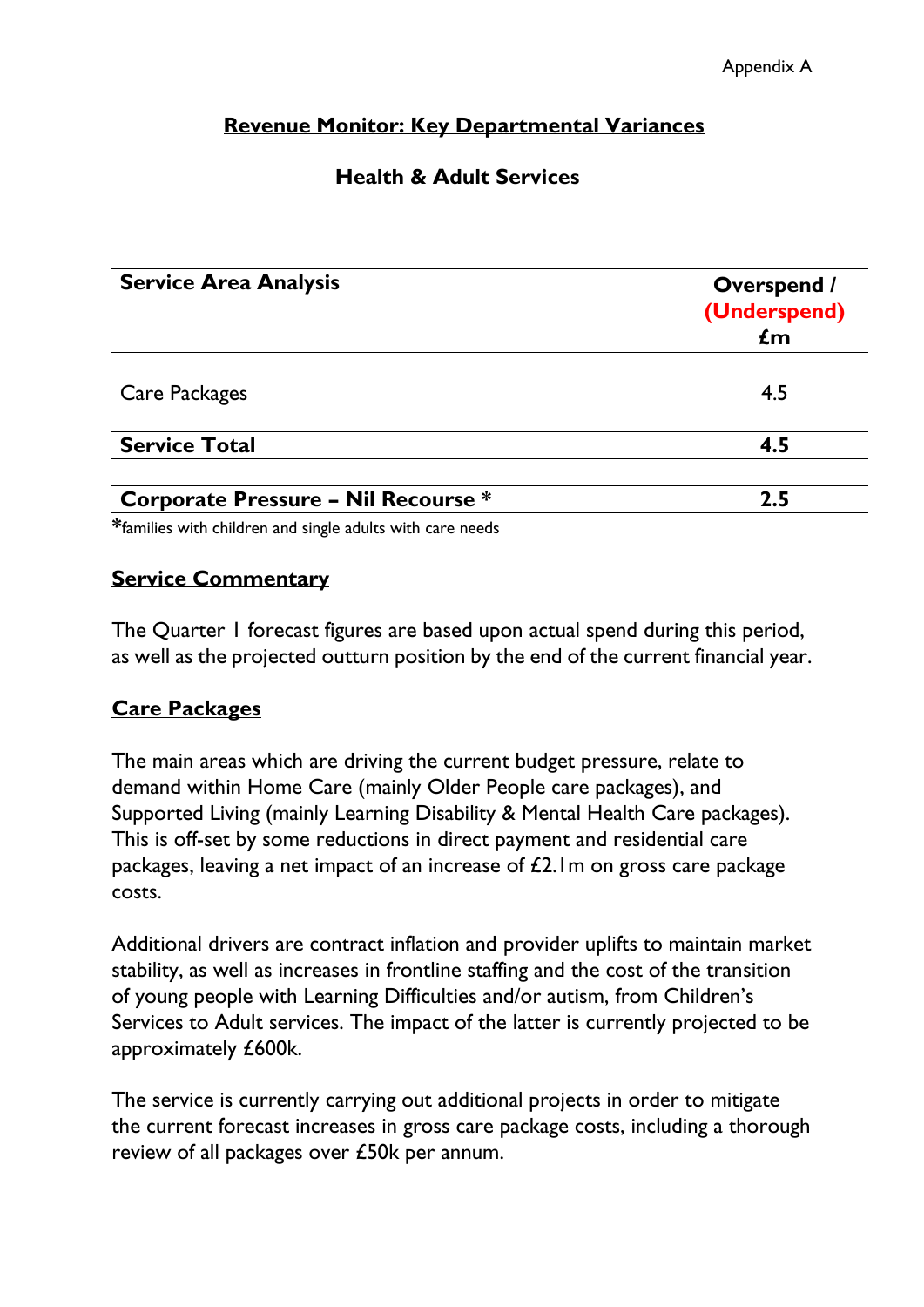# **Revenue Monitor: Key Departmental Variances**

# **Health & Adult Services**

| <b>Service Area Analysis</b>               | <b>Overspend /</b><br>(Underspend)<br>$\mathbf{f}$ m |
|--------------------------------------------|------------------------------------------------------|
| Care Packages                              | 4.5                                                  |
| <b>Service Total</b>                       | 4.5                                                  |
| <b>Corporate Pressure - Nil Recourse *</b> | 2.5                                                  |

**\***families with children and single adults with care needs

#### **Service Commentary**

The Quarter 1 forecast figures are based upon actual spend during this period, as well as the projected outturn position by the end of the current financial year.

### **Care Packages**

The main areas which are driving the current budget pressure, relate to demand within Home Care (mainly Older People care packages), and Supported Living (mainly Learning Disability & Mental Health Care packages). This is off-set by some reductions in direct payment and residential care packages, leaving a net impact of an increase of £2.1m on gross care package costs.

Additional drivers are contract inflation and provider uplifts to maintain market stability, as well as increases in frontline staffing and the cost of the transition of young people with Learning Difficulties and/or autism, from Children's Services to Adult services. The impact of the latter is currently projected to be approximately £600k.

The service is currently carrying out additional projects in order to mitigate the current forecast increases in gross care package costs, including a thorough review of all packages over £50k per annum.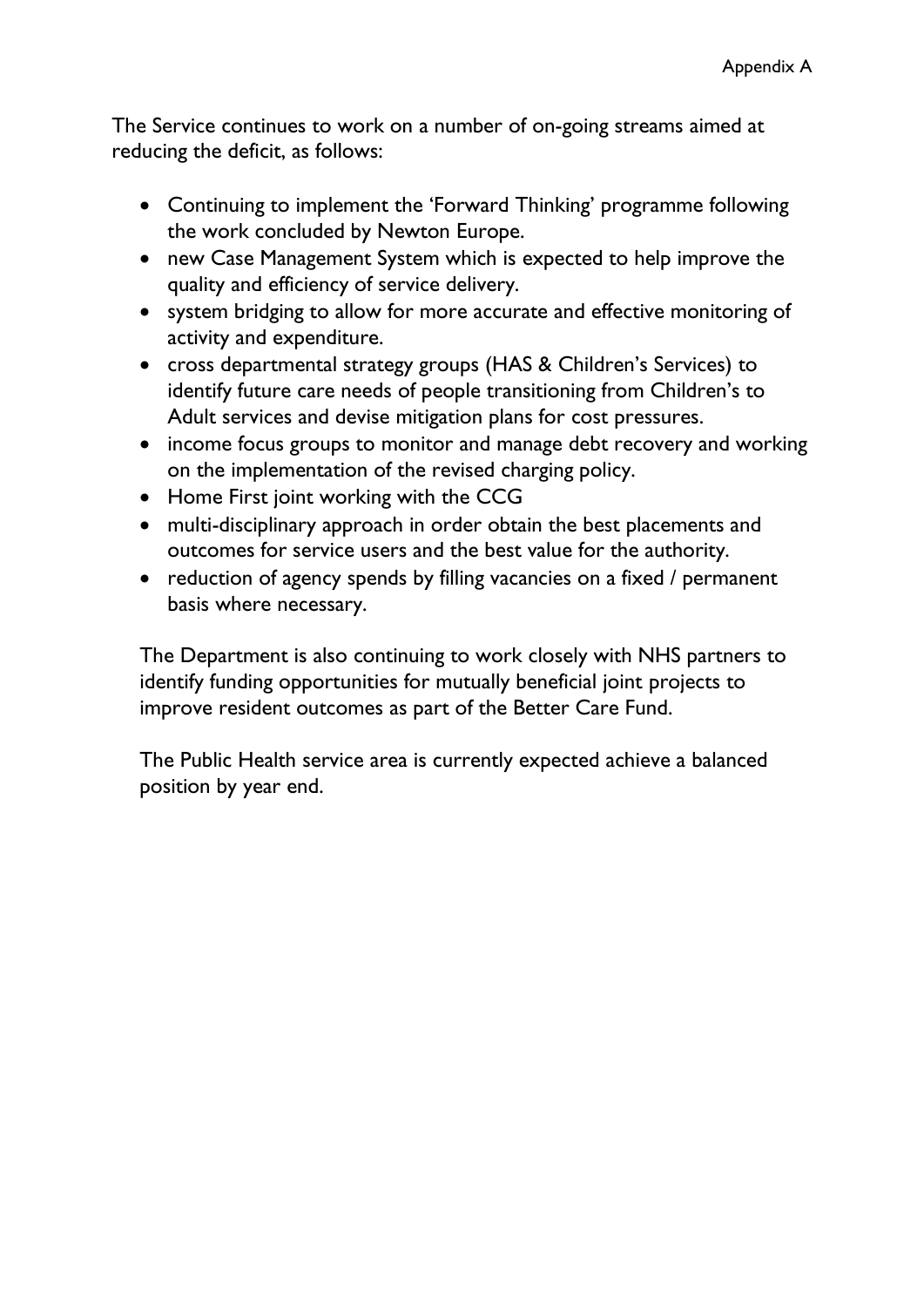The Service continues to work on a number of on-going streams aimed at reducing the deficit, as follows:

- Continuing to implement the 'Forward Thinking' programme following the work concluded by Newton Europe.
- new Case Management System which is expected to help improve the quality and efficiency of service delivery.
- system bridging to allow for more accurate and effective monitoring of activity and expenditure.
- cross departmental strategy groups (HAS & Children's Services) to identify future care needs of people transitioning from Children's to Adult services and devise mitigation plans for cost pressures.
- income focus groups to monitor and manage debt recovery and working on the implementation of the revised charging policy.
- Home First joint working with the CCG
- multi-disciplinary approach in order obtain the best placements and outcomes for service users and the best value for the authority.
- reduction of agency spends by filling vacancies on a fixed / permanent basis where necessary.

The Department is also continuing to work closely with NHS partners to identify funding opportunities for mutually beneficial joint projects to improve resident outcomes as part of the Better Care Fund.

The Public Health service area is currently expected achieve a balanced position by year end.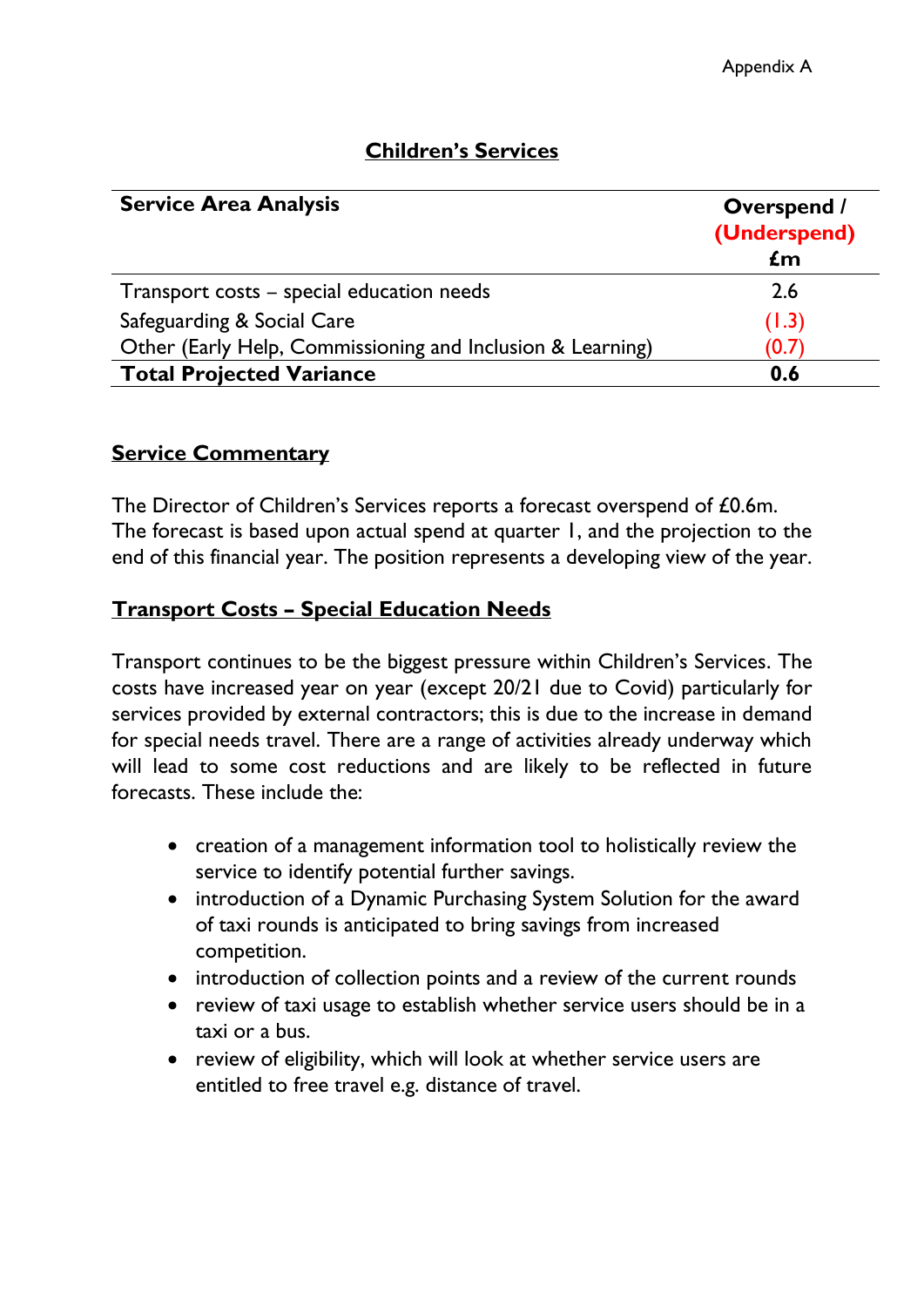| <b>Service Area Analysis</b>                               | <b>Overspend</b> /<br>(Underspend)<br>$\mathbf{f}$ m |
|------------------------------------------------------------|------------------------------------------------------|
| Transport costs - special education needs                  | 2.6                                                  |
| Safeguarding & Social Care                                 | (1.3)                                                |
| Other (Early Help, Commissioning and Inclusion & Learning) | (0.7)                                                |
| <b>Total Projected Variance</b>                            | 0.6                                                  |

# **Children's Services**

### **Service Commentary**

The Director of Children's Services reports a forecast overspend of £0.6m. The forecast is based upon actual spend at quarter 1, and the projection to the end of this financial year. The position represents a developing view of the year.

### **Transport Costs – Special Education Needs**

Transport continues to be the biggest pressure within Children's Services. The costs have increased year on year (except 20/21 due to Covid) particularly for services provided by external contractors; this is due to the increase in demand for special needs travel. There are a range of activities already underway which will lead to some cost reductions and are likely to be reflected in future forecasts. These include the:

- creation of a management information tool to holistically review the service to identify potential further savings.
- introduction of a Dynamic Purchasing System Solution for the award of taxi rounds is anticipated to bring savings from increased competition.
- introduction of collection points and a review of the current rounds
- review of taxi usage to establish whether service users should be in a taxi or a bus.
- review of eligibility, which will look at whether service users are entitled to free travel e.g. distance of travel.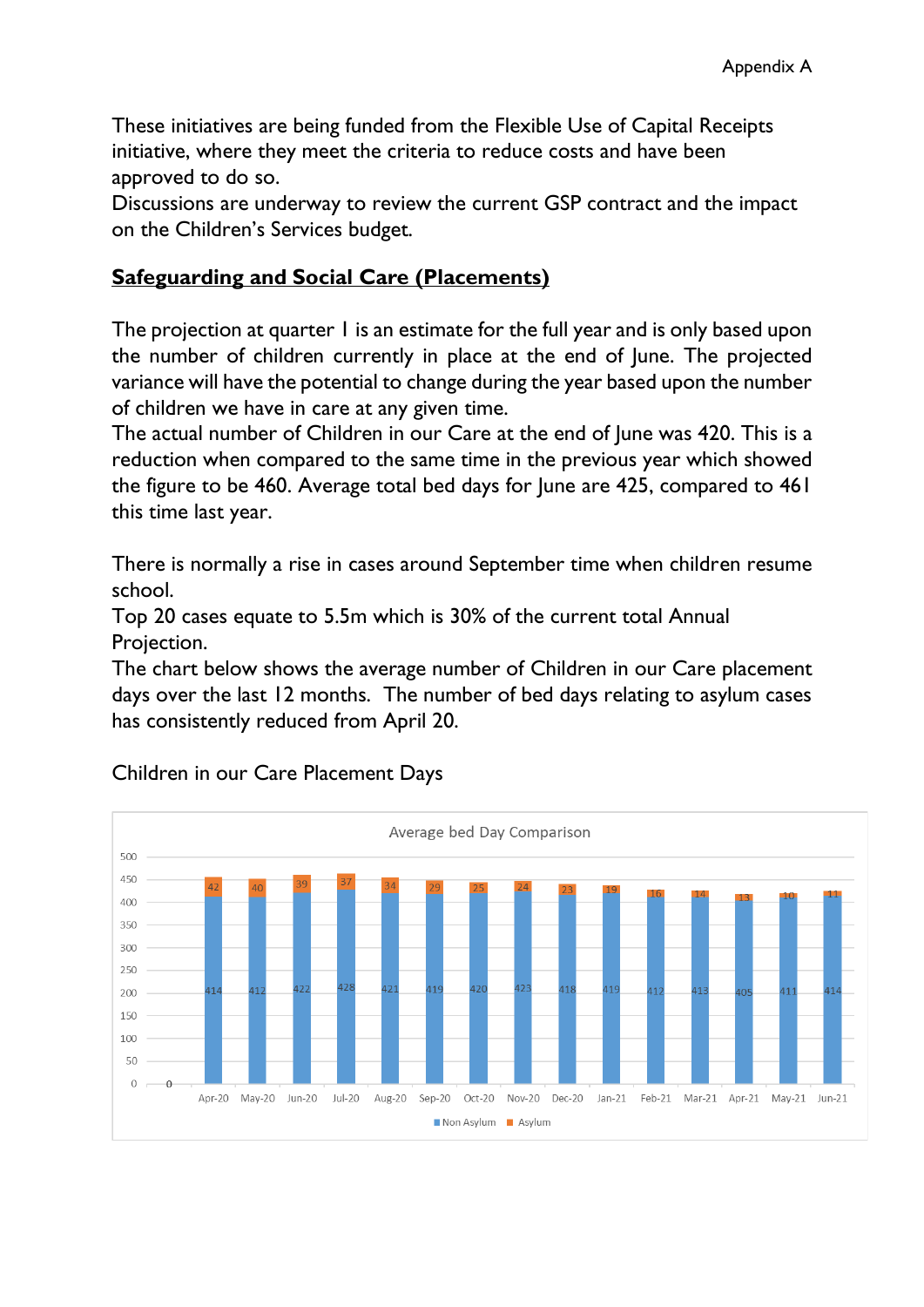These initiatives are being funded from the Flexible Use of Capital Receipts initiative, where they meet the criteria to reduce costs and have been approved to do so.

Discussions are underway to review the current GSP contract and the impact on the Children's Services budget.

### **Safeguarding and Social Care (Placements)**

The projection at quarter 1 is an estimate for the full year and is only based upon the number of children currently in place at the end of June. The projected variance will have the potential to change during the year based upon the number of children we have in care at any given time.

The actual number of Children in our Care at the end of June was 420. This is a reduction when compared to the same time in the previous year which showed the figure to be 460. Average total bed days for June are 425, compared to 461 this time last year.

There is normally a rise in cases around September time when children resume school.

Top 20 cases equate to 5.5m which is 30% of the current total Annual Projection.

The chart below shows the average number of Children in our Care placement days over the last 12 months. The number of bed days relating to asylum cases has consistently reduced from April 20.



Children in our Care Placement Days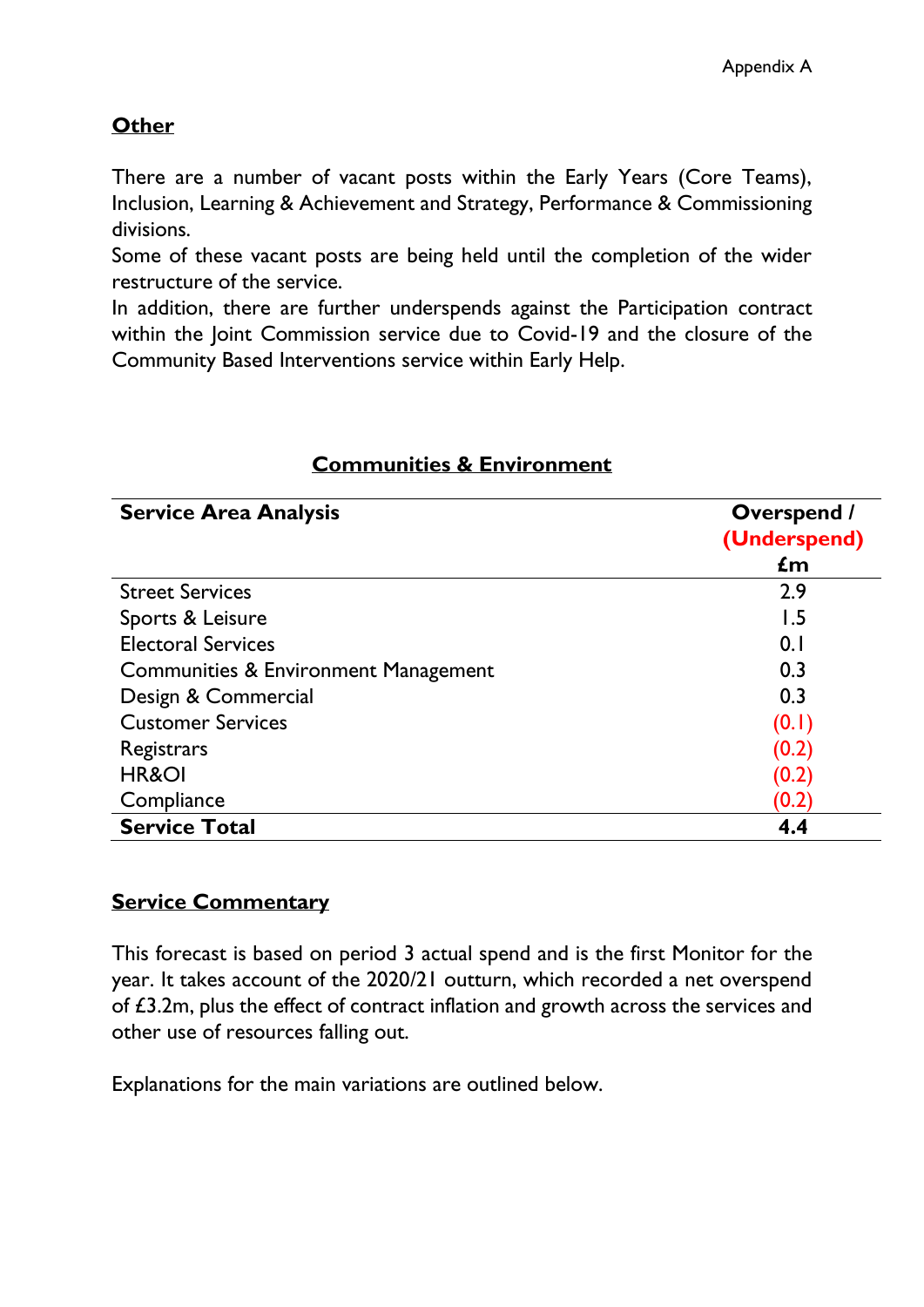# **Other**

There are a number of vacant posts within the Early Years (Core Teams), Inclusion, Learning & Achievement and Strategy, Performance & Commissioning divisions.

Some of these vacant posts are being held until the completion of the wider restructure of the service.

In addition, there are further underspends against the Participation contract within the Joint Commission service due to Covid-19 and the closure of the Community Based Interventions service within Early Help.

| <b>Service Area Analysis</b>         | <b>Overspend /</b><br>(Underspend)<br>£m |
|--------------------------------------|------------------------------------------|
|                                      |                                          |
| Sports & Leisure                     | 1.5                                      |
| <b>Electoral Services</b>            | 0.1                                      |
| Communities & Environment Management | 0.3                                      |
| Design & Commercial                  | 0.3                                      |
| <b>Customer Services</b>             | (0.1)                                    |
| Registrars                           | (0.2)                                    |
| <b>HR&amp;OI</b>                     | (0.2)                                    |
| Compliance                           | (0.2)                                    |
| <b>Service Total</b>                 | 4.4                                      |

### **Communities & Environment**

### **Service Commentary**

This forecast is based on period 3 actual spend and is the first Monitor for the year. It takes account of the 2020/21 outturn, which recorded a net overspend of £3.2m, plus the effect of contract inflation and growth across the services and other use of resources falling out.

Explanations for the main variations are outlined below.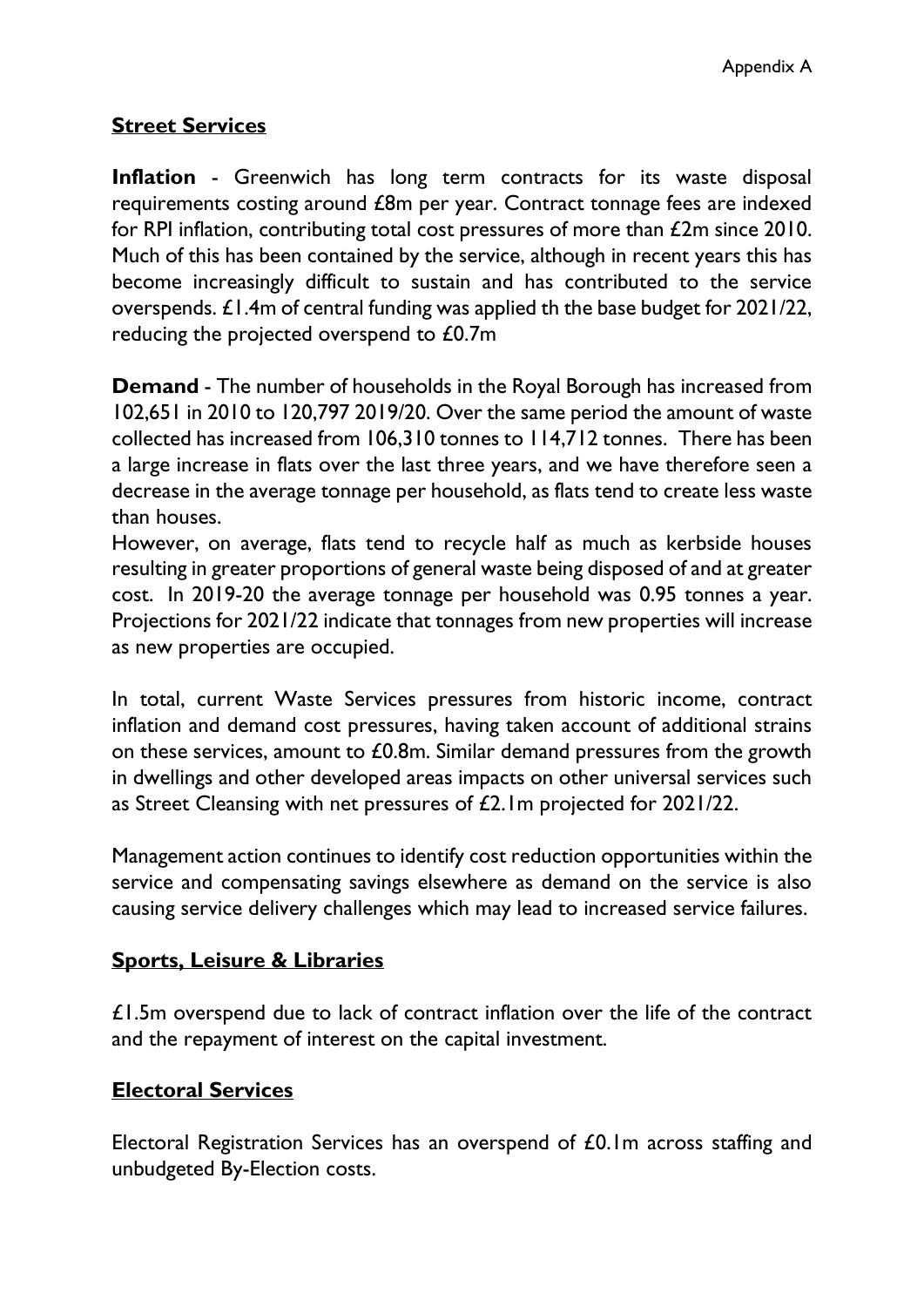# **Street Services**

**Inflation** - Greenwich has long term contracts for its waste disposal requirements costing around £8m per year. Contract tonnage fees are indexed for RPI inflation, contributing total cost pressures of more than £2m since 2010. Much of this has been contained by the service, although in recent years this has become increasingly difficult to sustain and has contributed to the service overspends. £1.4m of central funding was applied th the base budget for 2021/22, reducing the projected overspend to £0.7m

**Demand** - The number of households in the Royal Borough has increased from 102,651 in 2010 to 120,797 2019/20. Over the same period the amount of waste collected has increased from 106,310 tonnes to 114,712 tonnes. There has been a large increase in flats over the last three years, and we have therefore seen a decrease in the average tonnage per household, as flats tend to create less waste than houses.

However, on average, flats tend to recycle half as much as kerbside houses resulting in greater proportions of general waste being disposed of and at greater cost. In 2019-20 the average tonnage per household was 0.95 tonnes a year. Projections for 2021/22 indicate that tonnages from new properties will increase as new properties are occupied.

In total, current Waste Services pressures from historic income, contract inflation and demand cost pressures, having taken account of additional strains on these services, amount to £0.8m. Similar demand pressures from the growth in dwellings and other developed areas impacts on other universal services such as Street Cleansing with net pressures of £2.1m projected for 2021/22.

Management action continues to identify cost reduction opportunities within the service and compensating savings elsewhere as demand on the service is also causing service delivery challenges which may lead to increased service failures.

### **Sports, Leisure & Libraries**

£1.5m overspend due to lack of contract inflation over the life of the contract and the repayment of interest on the capital investment.

### **Electoral Services**

Electoral Registration Services has an overspend of £0.1m across staffing and unbudgeted By-Election costs.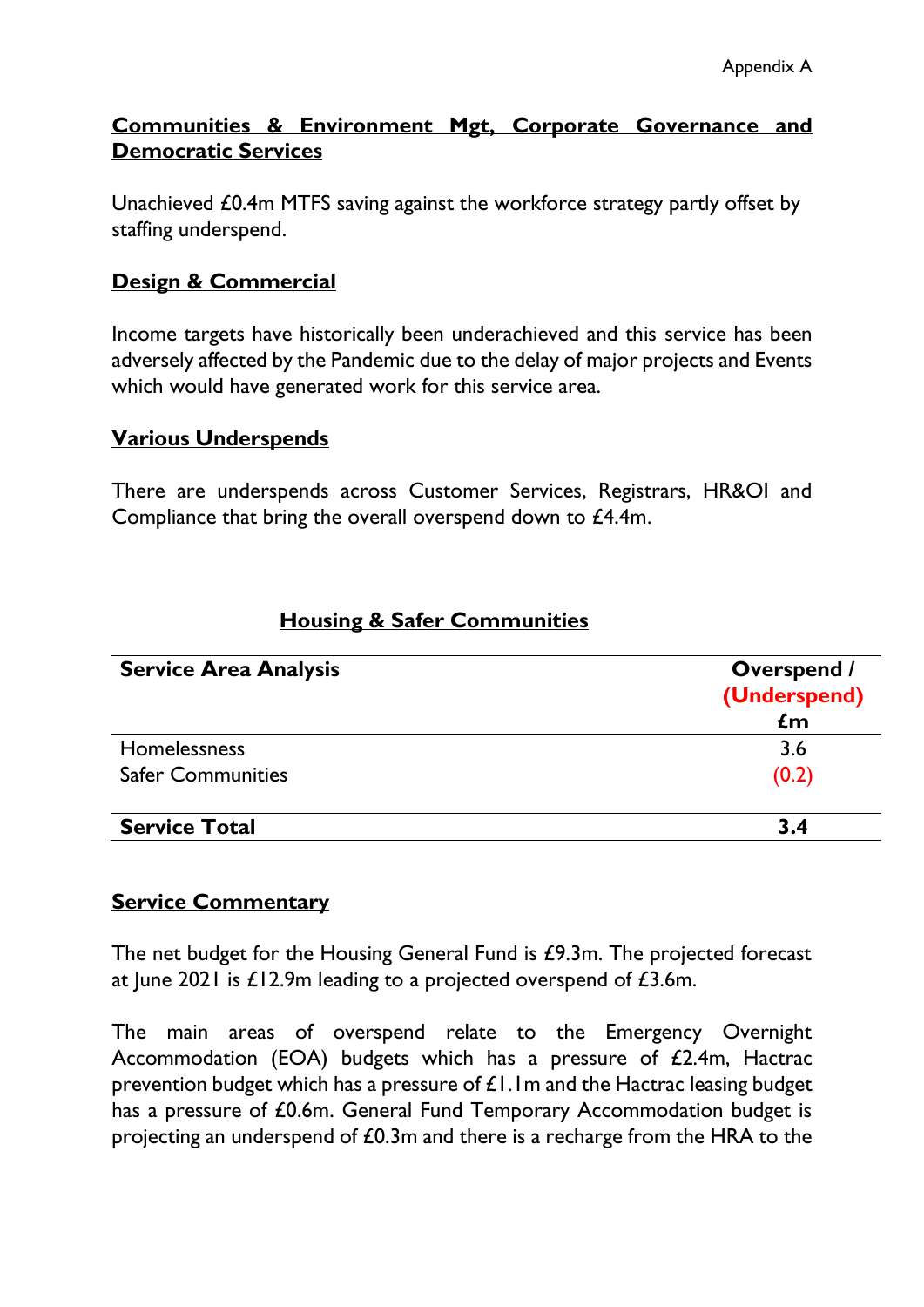### **Communities & Environment Mgt, Corporate Governance and Democratic Services**

Unachieved £0.4m MTFS saving against the workforce strategy partly offset by staffing underspend.

### **Design & Commercial**

Income targets have historically been underachieved and this service has been adversely affected by the Pandemic due to the delay of major projects and Events which would have generated work for this service area.

#### **Various Underspends**

There are underspends across Customer Services, Registrars, HR&OI and Compliance that bring the overall overspend down to £4.4m.

| <b>Service Area Analysis</b> | <b>Overspend /</b><br>(Underspend) |
|------------------------------|------------------------------------|
|                              | $\mathbf{f}$ m                     |
| <b>Homelessness</b>          | 3.6                                |
| <b>Safer Communities</b>     | (0.2)                              |
| <b>Service Total</b>         | 3.4                                |

### **Housing & Safer Communities**

#### **Service Commentary**

The net budget for the Housing General Fund is £9.3m. The projected forecast at June 2021 is £12.9m leading to a projected overspend of £3.6m.

The main areas of overspend relate to the Emergency Overnight Accommodation (EOA) budgets which has a pressure of £2.4m, Hactrac prevention budget which has a pressure of £1.1m and the Hactrac leasing budget has a pressure of £0.6m. General Fund Temporary Accommodation budget is projecting an underspend of £0.3m and there is a recharge from the HRA to the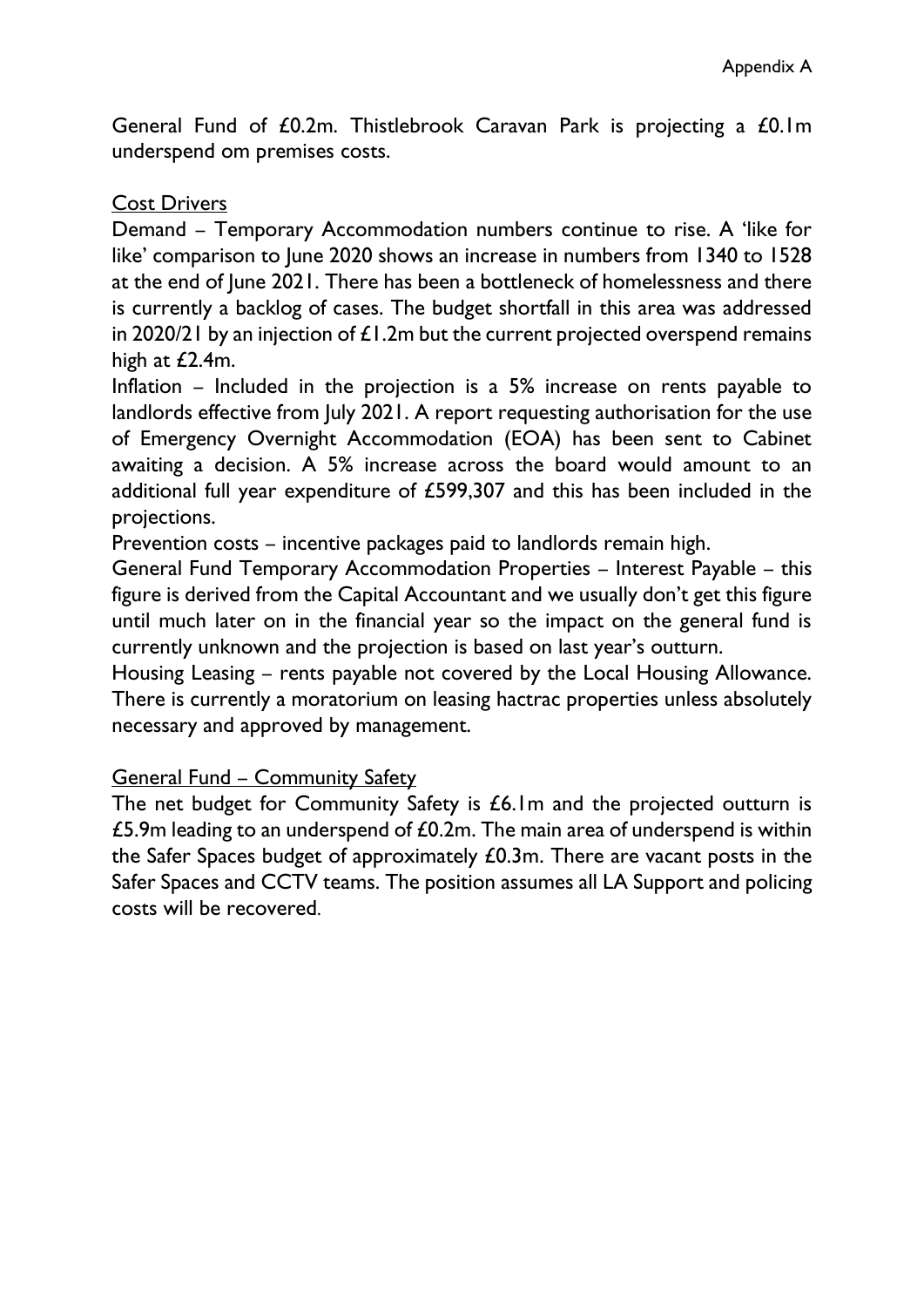General Fund of £0.2m. Thistlebrook Caravan Park is projecting a £0.1m underspend om premises costs.

#### Cost Drivers

Demand – Temporary Accommodation numbers continue to rise. A 'like for like' comparison to June 2020 shows an increase in numbers from 1340 to 1528 at the end of June 2021. There has been a bottleneck of homelessness and there is currently a backlog of cases. The budget shortfall in this area was addressed in 2020/21 by an injection of  $\pounds1.2$ m but the current projected overspend remains high at £2.4m.

Inflation – Included in the projection is a 5% increase on rents payable to landlords effective from July 2021. A report requesting authorisation for the use of Emergency Overnight Accommodation (EOA) has been sent to Cabinet awaiting a decision. A 5% increase across the board would amount to an additional full year expenditure of £599,307 and this has been included in the projections.

Prevention costs – incentive packages paid to landlords remain high.

General Fund Temporary Accommodation Properties – Interest Payable – this figure is derived from the Capital Accountant and we usually don't get this figure until much later on in the financial year so the impact on the general fund is currently unknown and the projection is based on last year's outturn.

Housing Leasing – rents payable not covered by the Local Housing Allowance. There is currently a moratorium on leasing hactrac properties unless absolutely necessary and approved by management.

#### General Fund – Community Safety

The net budget for Community Safety is £6.1m and the projected outturn is £5.9m leading to an underspend of £0.2m. The main area of underspend is within the Safer Spaces budget of approximately £0.3m. There are vacant posts in the Safer Spaces and CCTV teams. The position assumes all LA Support and policing costs will be recovered.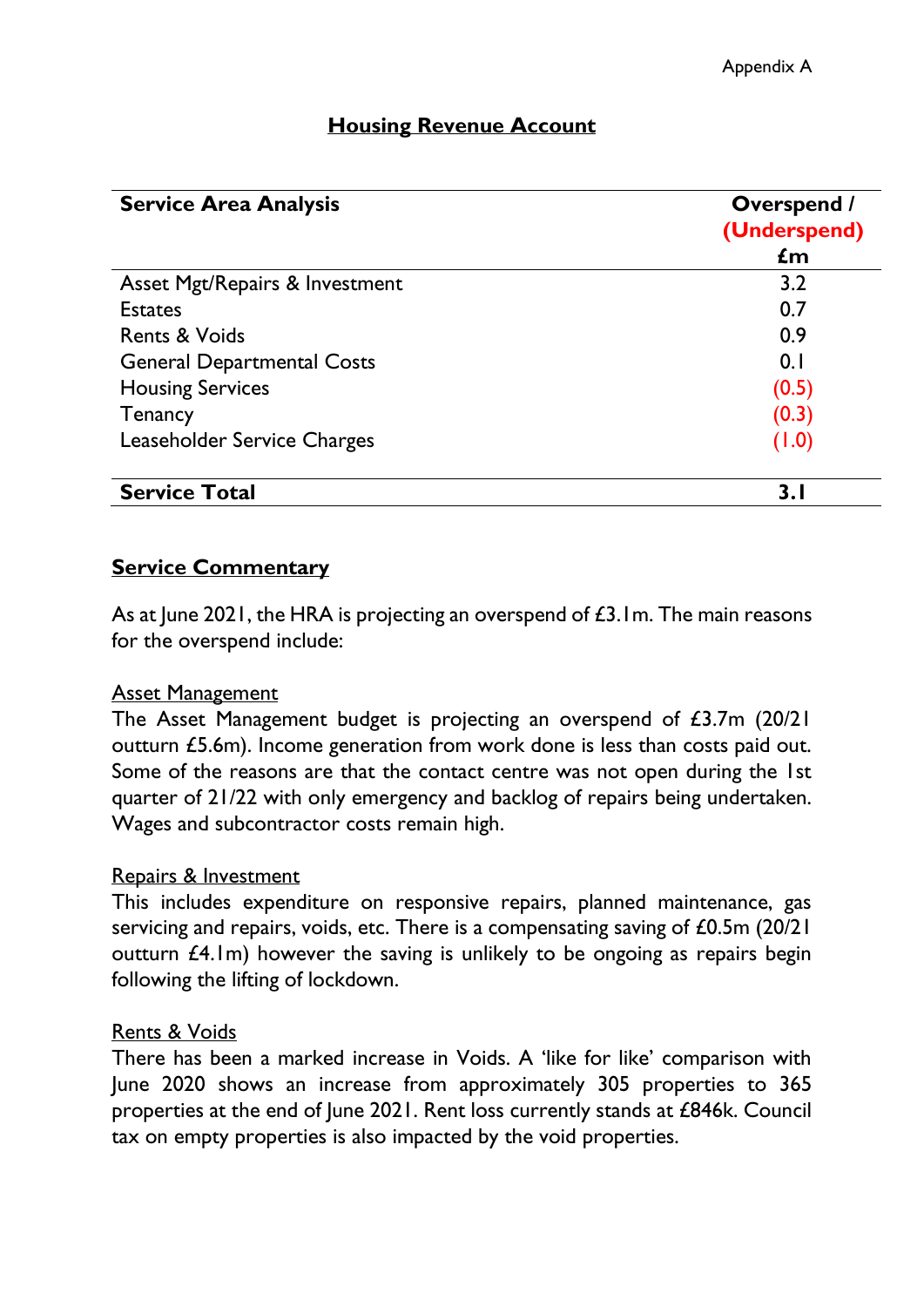| <b>Service Area Analysis</b>      | <b>Overspend /</b><br>(Underspend)<br>$\mathbf{f}$ m |
|-----------------------------------|------------------------------------------------------|
|                                   |                                                      |
| <b>Estates</b>                    | 0.7                                                  |
| <b>Rents &amp; Voids</b>          | 0.9                                                  |
| <b>General Departmental Costs</b> | 0.1                                                  |
| <b>Housing Services</b>           | (0.5)                                                |
| <b>Tenancy</b>                    | (0.3)                                                |
| Leaseholder Service Charges       | (1.0)                                                |
| <b>Service Total</b>              | 3.1                                                  |

# **Housing Revenue Account**

### **Service Commentary**

As at June 2021, the HRA is projecting an overspend of £3.1m. The main reasons for the overspend include:

#### Asset Management

The Asset Management budget is projecting an overspend of £3.7m (20/21 outturn £5.6m). Income generation from work done is less than costs paid out. Some of the reasons are that the contact centre was not open during the 1st quarter of 21/22 with only emergency and backlog of repairs being undertaken. Wages and subcontractor costs remain high.

#### Repairs & Investment

This includes expenditure on responsive repairs, planned maintenance, gas servicing and repairs, voids, etc. There is a compensating saving of £0.5m (20/21) outturn £4.1m) however the saving is unlikely to be ongoing as repairs begin following the lifting of lockdown.

#### Rents & Voids

There has been a marked increase in Voids. A 'like for like' comparison with June 2020 shows an increase from approximately 305 properties to 365 properties at the end of June 2021. Rent loss currently stands at £846k. Council tax on empty properties is also impacted by the void properties.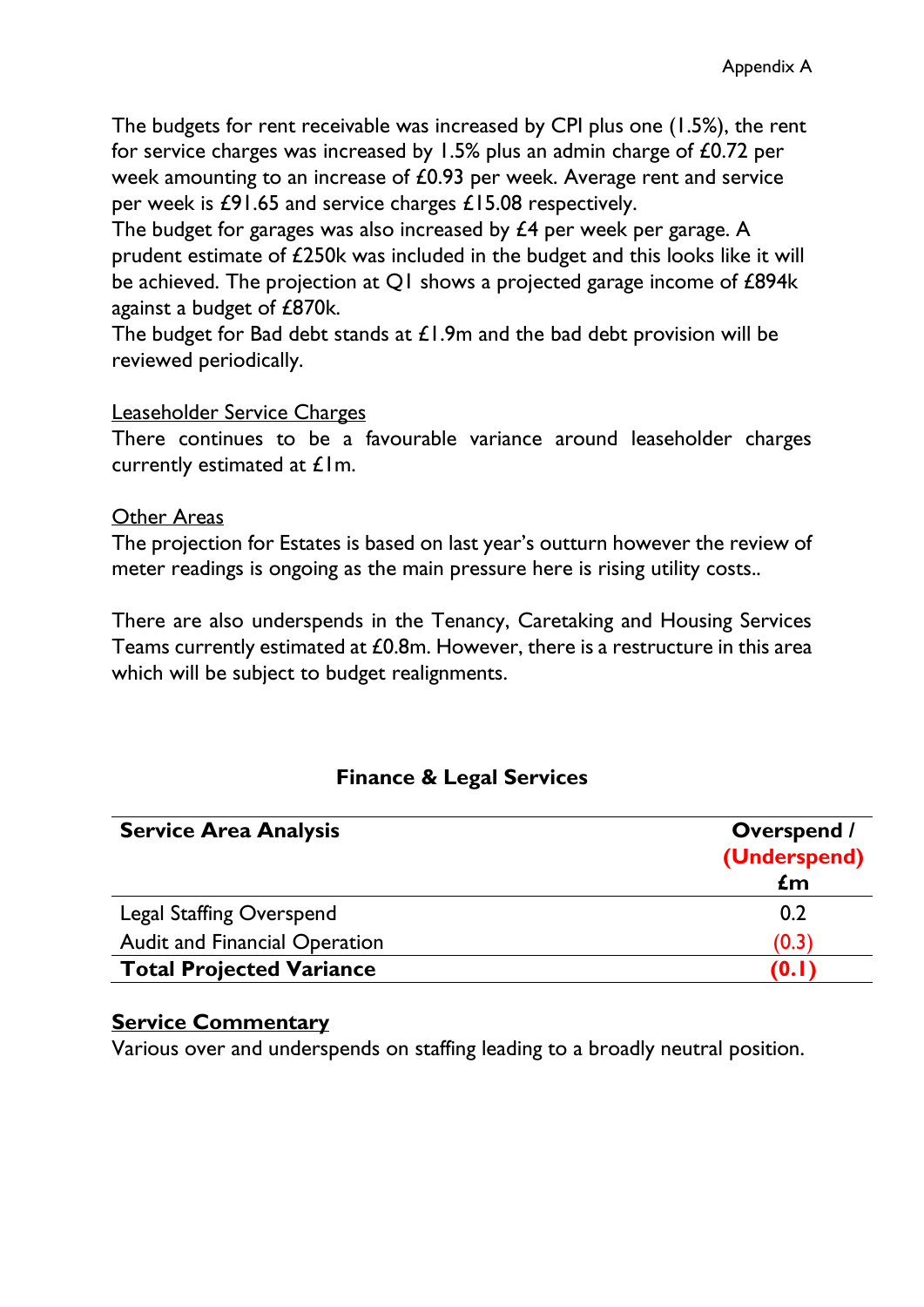The budgets for rent receivable was increased by CPI plus one (1.5%), the rent for service charges was increased by 1.5% plus an admin charge of £0.72 per week amounting to an increase of £0.93 per week. Average rent and service per week is £91.65 and service charges £15.08 respectively.

The budget for garages was also increased by £4 per week per garage. A prudent estimate of £250k was included in the budget and this looks like it will be achieved. The projection at Q1 shows a projected garage income of £894k against a budget of £870k.

The budget for Bad debt stands at  $£1.9m$  and the bad debt provision will be reviewed periodically.

#### Leaseholder Service Charges

There continues to be a favourable variance around leaseholder charges currently estimated at £1m.

#### Other Areas

The projection for Estates is based on last year's outturn however the review of meter readings is ongoing as the main pressure here is rising utility costs..

There are also underspends in the Tenancy, Caretaking and Housing Services Teams currently estimated at £0.8m. However, there is a restructure in this area which will be subject to budget realignments.

#### **Finance & Legal Services**

| <b>Service Area Analysis</b>         | <b>Overspend /</b><br>(Underspend) |
|--------------------------------------|------------------------------------|
|                                      | $\mathbf{f}$ m                     |
| <b>Legal Staffing Overspend</b>      | 0.2                                |
| <b>Audit and Financial Operation</b> | (0.3)                              |
| <b>Total Projected Variance</b>      | (0. I                              |

#### **Service Commentary**

Various over and underspends on staffing leading to a broadly neutral position.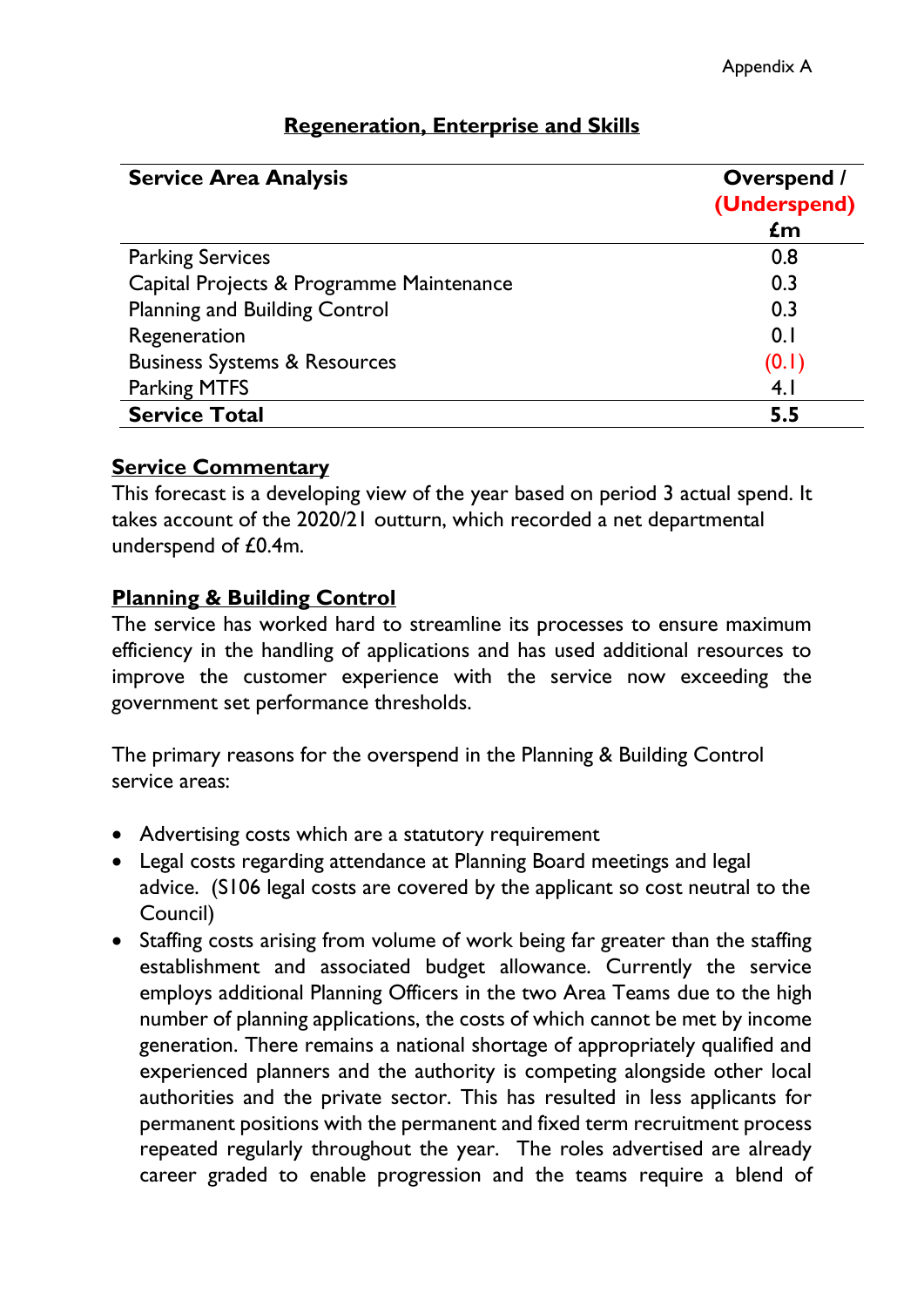| <b>Service Area Analysis</b>             | <b>Overspend /</b><br>(Underspend) |
|------------------------------------------|------------------------------------|
|                                          | £m                                 |
| <b>Parking Services</b>                  | 0.8                                |
| Capital Projects & Programme Maintenance | 0.3                                |
| <b>Planning and Building Control</b>     | 0.3                                |
| Regeneration                             | 0.1                                |
| <b>Business Systems &amp; Resources</b>  | (0.1)                              |
| <b>Parking MTFS</b>                      | 4.1                                |
| <b>Service Total</b>                     | 5.5                                |

# **Regeneration, Enterprise and Skills**

#### **Service Commentary**

This forecast is a developing view of the year based on period 3 actual spend. It takes account of the 2020/21 outturn, which recorded a net departmental underspend of £0.4m.

#### **Planning & Building Control**

The service has worked hard to streamline its processes to ensure maximum efficiency in the handling of applications and has used additional resources to improve the customer experience with the service now exceeding the government set performance thresholds.

The primary reasons for the overspend in the Planning & Building Control service areas:

- Advertising costs which are a statutory requirement
- Legal costs regarding attendance at Planning Board meetings and legal advice. (S106 legal costs are covered by the applicant so cost neutral to the Council)
- Staffing costs arising from volume of work being far greater than the staffing establishment and associated budget allowance. Currently the service employs additional Planning Officers in the two Area Teams due to the high number of planning applications, the costs of which cannot be met by income generation. There remains a national shortage of appropriately qualified and experienced planners and the authority is competing alongside other local authorities and the private sector. This has resulted in less applicants for permanent positions with the permanent and fixed term recruitment process repeated regularly throughout the year. The roles advertised are already career graded to enable progression and the teams require a blend of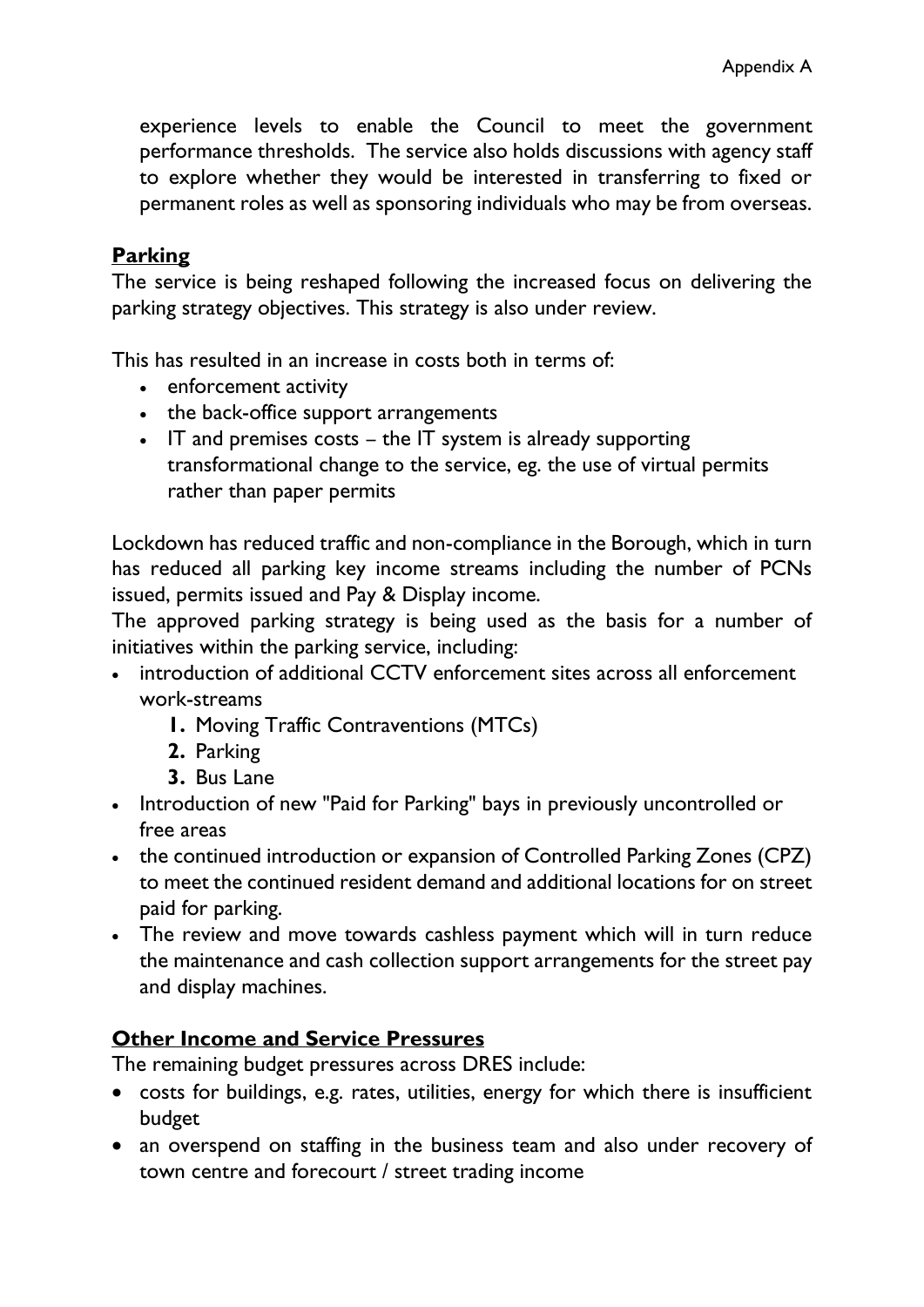experience levels to enable the Council to meet the government performance thresholds. The service also holds discussions with agency staff to explore whether they would be interested in transferring to fixed or permanent roles as well as sponsoring individuals who may be from overseas.

### **Parking**

The service is being reshaped following the increased focus on delivering the parking strategy objectives. This strategy is also under review.

This has resulted in an increase in costs both in terms of:

- enforcement activity
- the back-office support arrangements
- IT and premises costs the IT system is already supporting transformational change to the service, eg. the use of virtual permits rather than paper permits

Lockdown has reduced traffic and non-compliance in the Borough, which in turn has reduced all parking key income streams including the number of PCNs issued, permits issued and Pay & Display income.

The approved parking strategy is being used as the basis for a number of initiatives within the parking service, including:

- introduction of additional CCTV enforcement sites across all enforcement work-streams
	- **1.** Moving Traffic Contraventions (MTCs)
	- **2.** Parking
	- **3.** Bus Lane
- Introduction of new "Paid for Parking" bays in previously uncontrolled or free areas
- the continued introduction or expansion of Controlled Parking Zones (CPZ) to meet the continued resident demand and additional locations for on street paid for parking.
- The review and move towards cashless payment which will in turn reduce the maintenance and cash collection support arrangements for the street pay and display machines.

### **Other Income and Service Pressures**

The remaining budget pressures across DRES include:

- costs for buildings, e.g. rates, utilities, energy for which there is insufficient budget
- an overspend on staffing in the business team and also under recovery of town centre and forecourt / street trading income